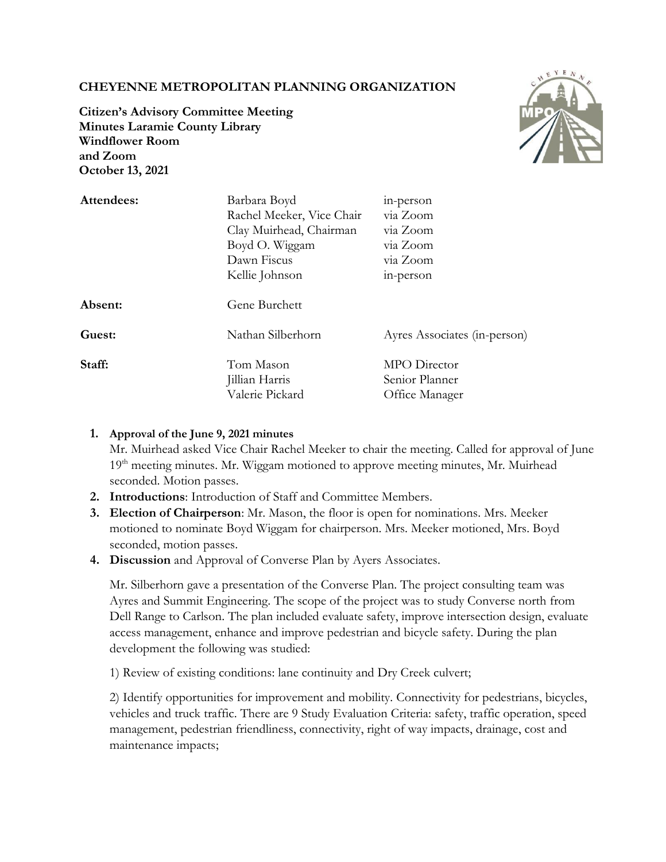# **CHEYENNE METROPOLITAN PLANNING ORGANIZATION**



**Citizen's Advisory Committee Meeting Minutes Laramie County Library Windflower Room and Zoom October 13, 2021**

| Attendees: | Barbara Boyd              | in-person                    |
|------------|---------------------------|------------------------------|
|            | Rachel Meeker, Vice Chair | via Zoom                     |
|            | Clay Muirhead, Chairman   | via Zoom                     |
|            | Boyd O. Wiggam            | via Zoom                     |
|            | Dawn Fiscus               | via Zoom                     |
|            | Kellie Johnson            | in-person                    |
| Absent:    | Gene Burchett             |                              |
| Guest:     | Nathan Silberhorn         | Ayres Associates (in-person) |
| Staff:     | Tom Mason                 | MPO Director                 |
|            | Jillian Harris            | Senior Planner               |
|            | Valerie Pickard           | Office Manager               |

### **1. Approval of the June 9, 2021 minutes**

Mr. Muirhead asked Vice Chair Rachel Meeker to chair the meeting. Called for approval of June 19<sup>th</sup> meeting minutes. Mr. Wiggam motioned to approve meeting minutes, Mr. Muirhead seconded. Motion passes.

- **2. Introductions**: Introduction of Staff and Committee Members.
- **3. Election of Chairperson**: Mr. Mason, the floor is open for nominations. Mrs. Meeker motioned to nominate Boyd Wiggam for chairperson. Mrs. Meeker motioned, Mrs. Boyd seconded, motion passes.
- **4. Discussion** and Approval of Converse Plan by Ayers Associates.

Mr. Silberhorn gave a presentation of the Converse Plan. The project consulting team was Ayres and Summit Engineering. The scope of the project was to study Converse north from Dell Range to Carlson. The plan included evaluate safety, improve intersection design, evaluate access management, enhance and improve pedestrian and bicycle safety. During the plan development the following was studied:

1) Review of existing conditions: lane continuity and Dry Creek culvert;

2) Identify opportunities for improvement and mobility. Connectivity for pedestrians, bicycles, vehicles and truck traffic. There are 9 Study Evaluation Criteria: safety, traffic operation, speed management, pedestrian friendliness, connectivity, right of way impacts, drainage, cost and maintenance impacts;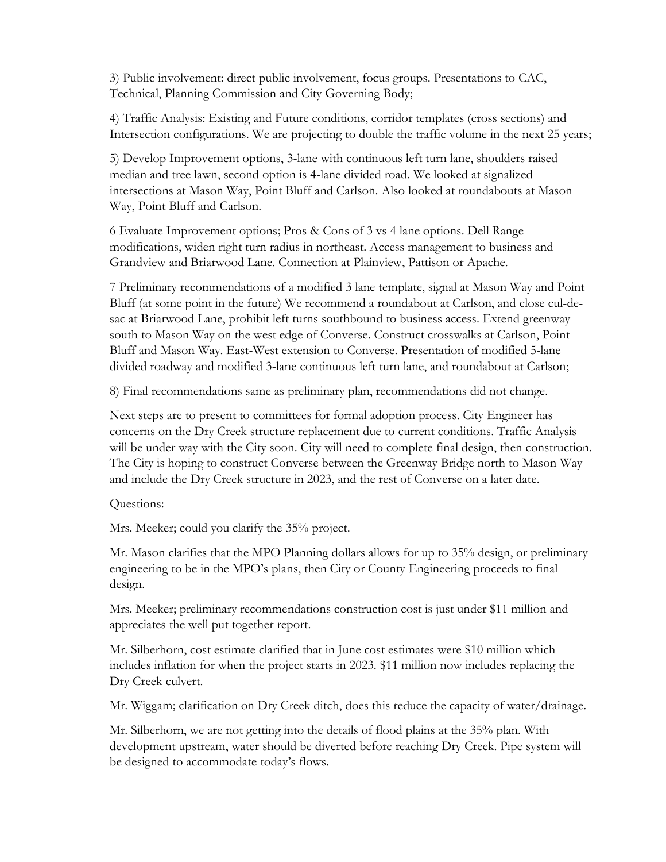3) Public involvement: direct public involvement, focus groups. Presentations to CAC, Technical, Planning Commission and City Governing Body;

4) Traffic Analysis: Existing and Future conditions, corridor templates (cross sections) and Intersection configurations. We are projecting to double the traffic volume in the next 25 years;

5) Develop Improvement options, 3-lane with continuous left turn lane, shoulders raised median and tree lawn, second option is 4-lane divided road. We looked at signalized intersections at Mason Way, Point Bluff and Carlson. Also looked at roundabouts at Mason Way, Point Bluff and Carlson.

6 Evaluate Improvement options; Pros & Cons of 3 vs 4 lane options. Dell Range modifications, widen right turn radius in northeast. Access management to business and Grandview and Briarwood Lane. Connection at Plainview, Pattison or Apache.

7 Preliminary recommendations of a modified 3 lane template, signal at Mason Way and Point Bluff (at some point in the future) We recommend a roundabout at Carlson, and close cul-desac at Briarwood Lane, prohibit left turns southbound to business access. Extend greenway south to Mason Way on the west edge of Converse. Construct crosswalks at Carlson, Point Bluff and Mason Way. East-West extension to Converse. Presentation of modified 5-lane divided roadway and modified 3-lane continuous left turn lane, and roundabout at Carlson;

8) Final recommendations same as preliminary plan, recommendations did not change.

Next steps are to present to committees for formal adoption process. City Engineer has concerns on the Dry Creek structure replacement due to current conditions. Traffic Analysis will be under way with the City soon. City will need to complete final design, then construction. The City is hoping to construct Converse between the Greenway Bridge north to Mason Way and include the Dry Creek structure in 2023, and the rest of Converse on a later date.

## Questions:

Mrs. Meeker; could you clarify the 35% project.

Mr. Mason clarifies that the MPO Planning dollars allows for up to 35% design, or preliminary engineering to be in the MPO's plans, then City or County Engineering proceeds to final design.

Mrs. Meeker; preliminary recommendations construction cost is just under \$11 million and appreciates the well put together report.

Mr. Silberhorn, cost estimate clarified that in June cost estimates were \$10 million which includes inflation for when the project starts in 2023. \$11 million now includes replacing the Dry Creek culvert.

Mr. Wiggam; clarification on Dry Creek ditch, does this reduce the capacity of water/drainage.

Mr. Silberhorn, we are not getting into the details of flood plains at the 35% plan. With development upstream, water should be diverted before reaching Dry Creek. Pipe system will be designed to accommodate today's flows.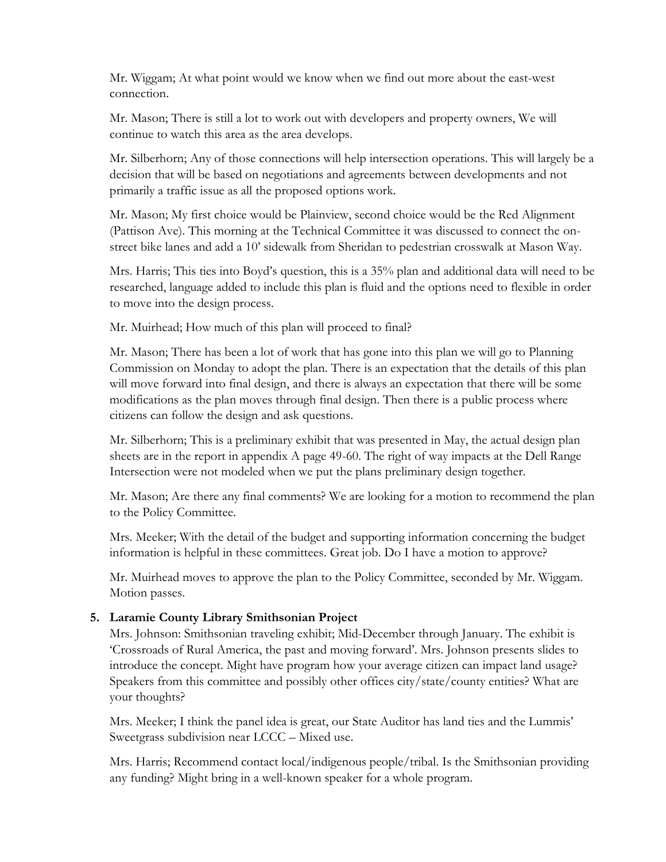Mr. Wiggam; At what point would we know when we find out more about the east-west connection.

Mr. Mason; There is still a lot to work out with developers and property owners, We will continue to watch this area as the area develops.

Mr. Silberhorn; Any of those connections will help intersection operations. This will largely be a decision that will be based on negotiations and agreements between developments and not primarily a traffic issue as all the proposed options work.

Mr. Mason; My first choice would be Plainview, second choice would be the Red Alignment (Pattison Ave). This morning at the Technical Committee it was discussed to connect the onstreet bike lanes and add a 10' sidewalk from Sheridan to pedestrian crosswalk at Mason Way.

Mrs. Harris; This ties into Boyd's question, this is a 35% plan and additional data will need to be researched, language added to include this plan is fluid and the options need to flexible in order to move into the design process.

Mr. Muirhead; How much of this plan will proceed to final?

Mr. Mason; There has been a lot of work that has gone into this plan we will go to Planning Commission on Monday to adopt the plan. There is an expectation that the details of this plan will move forward into final design, and there is always an expectation that there will be some modifications as the plan moves through final design. Then there is a public process where citizens can follow the design and ask questions.

Mr. Silberhorn; This is a preliminary exhibit that was presented in May, the actual design plan sheets are in the report in appendix A page 49-60. The right of way impacts at the Dell Range Intersection were not modeled when we put the plans preliminary design together.

Mr. Mason; Are there any final comments? We are looking for a motion to recommend the plan to the Policy Committee.

Mrs. Meeker; With the detail of the budget and supporting information concerning the budget information is helpful in these committees. Great job. Do I have a motion to approve?

Mr. Muirhead moves to approve the plan to the Policy Committee, seconded by Mr. Wiggam. Motion passes.

## **5. Laramie County Library Smithsonian Project**

Mrs. Johnson: Smithsonian traveling exhibit; Mid-December through January. The exhibit is 'Crossroads of Rural America, the past and moving forward'. Mrs. Johnson presents slides to introduce the concept. Might have program how your average citizen can impact land usage? Speakers from this committee and possibly other offices city/state/county entities? What are your thoughts?

Mrs. Meeker; I think the panel idea is great, our State Auditor has land ties and the Lummis' Sweetgrass subdivision near LCCC – Mixed use.

Mrs. Harris; Recommend contact local/indigenous people/tribal. Is the Smithsonian providing any funding? Might bring in a well-known speaker for a whole program.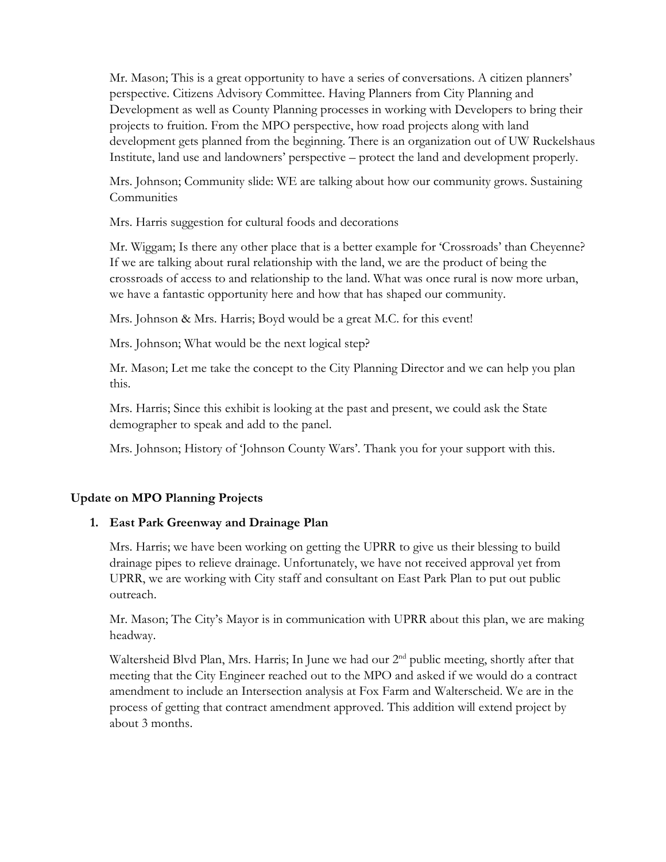Mr. Mason; This is a great opportunity to have a series of conversations. A citizen planners' perspective. Citizens Advisory Committee. Having Planners from City Planning and Development as well as County Planning processes in working with Developers to bring their projects to fruition. From the MPO perspective, how road projects along with land development gets planned from the beginning. There is an organization out of UW Ruckelshaus Institute, land use and landowners' perspective – protect the land and development properly.

Mrs. Johnson; Community slide: WE are talking about how our community grows. Sustaining **Communities** 

Mrs. Harris suggestion for cultural foods and decorations

Mr. Wiggam; Is there any other place that is a better example for 'Crossroads' than Cheyenne? If we are talking about rural relationship with the land, we are the product of being the crossroads of access to and relationship to the land. What was once rural is now more urban, we have a fantastic opportunity here and how that has shaped our community.

Mrs. Johnson & Mrs. Harris; Boyd would be a great M.C. for this event!

Mrs. Johnson; What would be the next logical step?

Mr. Mason; Let me take the concept to the City Planning Director and we can help you plan this.

Mrs. Harris; Since this exhibit is looking at the past and present, we could ask the State demographer to speak and add to the panel.

Mrs. Johnson; History of 'Johnson County Wars'. Thank you for your support with this.

## **Update on MPO Planning Projects**

#### **1. East Park Greenway and Drainage Plan**

Mrs. Harris; we have been working on getting the UPRR to give us their blessing to build drainage pipes to relieve drainage. Unfortunately, we have not received approval yet from UPRR, we are working with City staff and consultant on East Park Plan to put out public outreach.

Mr. Mason; The City's Mayor is in communication with UPRR about this plan, we are making headway.

Waltersheid Blvd Plan, Mrs. Harris; In June we had our 2<sup>nd</sup> public meeting, shortly after that meeting that the City Engineer reached out to the MPO and asked if we would do a contract amendment to include an Intersection analysis at Fox Farm and Walterscheid. We are in the process of getting that contract amendment approved. This addition will extend project by about 3 months.